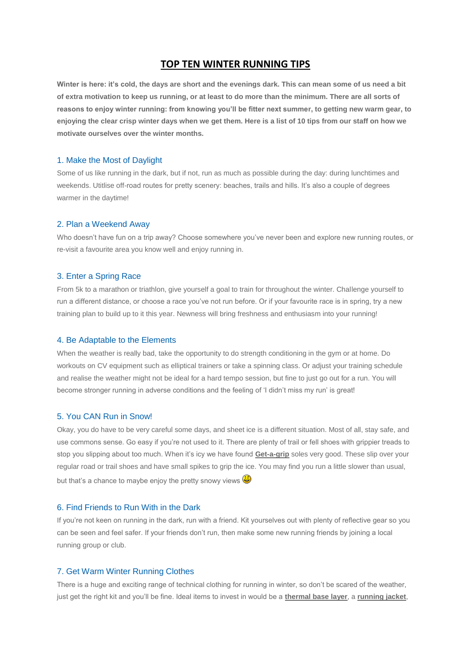# **TOP TEN WINTER RUNNING TIPS**

**Winter is here: it's cold, the days are short and the evenings dark. This can mean some of us need a bit of extra motivation to keep us running, or at least to do more than the minimum. There are all sorts of reasons to enjoy winter running: from knowing you'll be fitter next summer, to getting new warm gear, to enjoying the clear crisp winter days when we get them. Here is a list of 10 tips from our staff on how we motivate ourselves over the winter months.**

### 1. Make the Most of Daylight

Some of us like running in the dark, but if not, run as much as possible during the day: during lunchtimes and weekends. Utitlise off-road routes for pretty scenery: beaches, trails and hills. It's also a couple of degrees warmer in the daytime!

### 2. Plan a Weekend Away

Who doesn't have fun on a trip away? Choose somewhere you've never been and explore new running routes, or re-visit a favourite area you know well and enjoy running in.

### 3. Enter a Spring Race

From 5k to a marathon or triathlon, give yourself a goal to train for throughout the winter. Challenge yourself to run a different distance, or choose a race you've not run before. Or if your favourite race is in spring, try a new training plan to build up to it this year. Newness will bring freshness and enthusiasm into your running!

#### 4. Be Adaptable to the Elements

When the weather is really bad, take the opportunity to do strength conditioning in the gym or at home. Do workouts on CV equipment such as elliptical trainers or take a spinning class. Or adjust your training schedule and realise the weather might not be ideal for a hard tempo session, but fine to just go out for a run. You will become stronger running in adverse conditions and the feeling of 'I didn't miss my run' is great!

# 5. You CAN Run in Snow!

Okay, you do have to be very careful some days, and sheet ice is a different situation. Most of all, stay safe, and use commons sense. Go easy if you're not used to it. There are plenty of trail or fell shoes with grippier treads to stop you slipping about too much. When it's icy we have found **[Get-a-grip](http://www.runandbecome.com/Shop-Online/Accessories/Extras/miscellaneous/Get-a-Grip-L-XL)** soles very good. These slip over your regular road or trail shoes and have small spikes to grip the ice. You may find you run a little slower than usual, but that's a chance to maybe enjoy the pretty snowy views  $\bigoplus$ 

### 6. Find Friends to Run With in the Dark

If you're not keen on running in the dark, run with a friend. Kit yourselves out with plenty of reflective gear so you can be seen and feel safer. If your friends don't run, then make some new running friends by joining a local running group or club.

#### 7. Get Warm Winter Running Clothes

There is a huge and exciting range of technical clothing for running in winter, so don't be scared of the weather, just get the right kit and you'll be fine. Ideal items to invest in would be a **[thermal base layer](http://www.runandbecome.com/Clothing/Tops/Thermal-Tops)**, a **[running jacket](http://www.runandbecome.com/Clothing/Jackets)**,